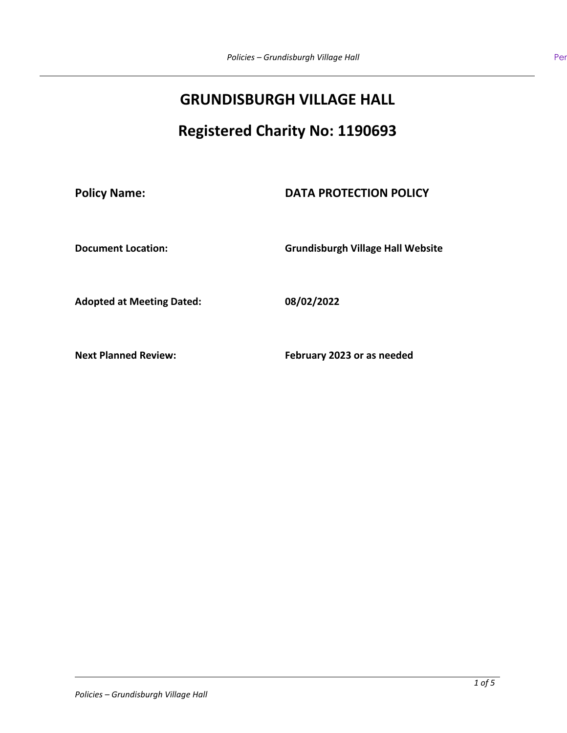# **GRUNDISBURGH VILLAGE HALL**

# **Registered Charity No: 1190693**

# **Policy Name: DATA PROTECTION POLICY**

**Document Location: Grundisburgh Village Hall Website**

**Adopted at Meeting Dated: 08/02/2022**

**Next Planned Review: February 2023 or as needed**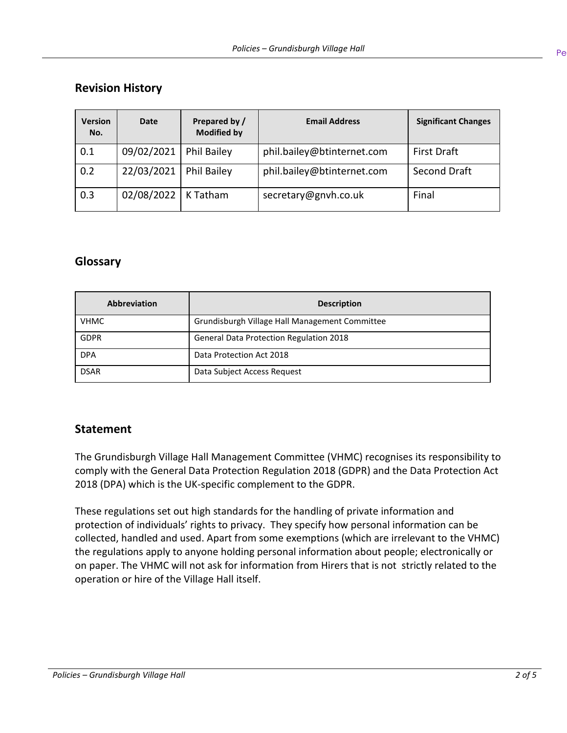# **Revision History**

| <b>Version</b><br>No. | Date       | Prepared by /<br><b>Modified by</b> | <b>Email Address</b>       | <b>Significant Changes</b> |
|-----------------------|------------|-------------------------------------|----------------------------|----------------------------|
| 0.1                   | 09/02/2021 | Phil Bailey                         | phil.bailey@btinternet.com | <b>First Draft</b>         |
| 0.2                   | 22/03/2021 | <b>Phil Bailey</b>                  | phil.bailey@btinternet.com | Second Draft               |
| 0.3                   | 02/08/2022 | K Tatham                            | secretary@gnvh.co.uk       | Final                      |

## **Glossary**

| <b>Abbreviation</b> | <b>Description</b>                             |
|---------------------|------------------------------------------------|
| <b>VHMC</b>         | Grundisburgh Village Hall Management Committee |
| <b>GDPR</b>         | <b>General Data Protection Regulation 2018</b> |
| <b>DPA</b>          | Data Protection Act 2018                       |
| <b>DSAR</b>         | Data Subject Access Request                    |

## **Statement**

The Grundisburgh Village Hall Management Committee (VHMC) recognises its responsibility to comply with the General Data Protection Regulation 2018 (GDPR) and the Data Protection Act 2018 (DPA) which is the UK-specific complement to the GDPR.

These regulations set out high standards for the handling of private information and protection of individuals' rights to privacy. They specify how personal information can be collected, handled and used. Apart from some exemptions (which are irrelevant to the VHMC) the regulations apply to anyone holding personal information about people; electronically or on paper. The VHMC will not ask for information from Hirers that is not strictly related to the operation or hire of the Village Hall itself.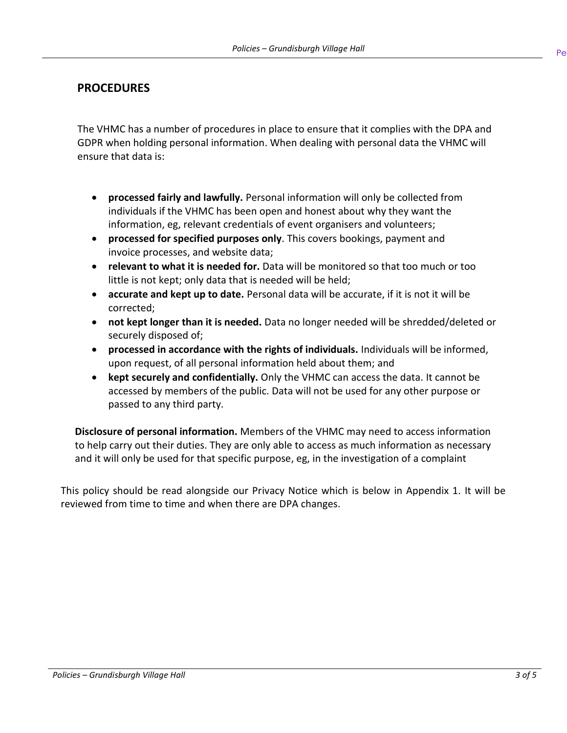## **PROCEDURES**

The VHMC has a number of procedures in place to ensure that it complies with the DPA and GDPR when holding personal information. When dealing with personal data the VHMC will ensure that data is:

- **processed fairly and lawfully.** Personal information will only be collected from individuals if the VHMC has been open and honest about why they want the information, eg, relevant credentials of event organisers and volunteers;
- **processed for specified purposes only**. This covers bookings, payment and invoice processes, and website data;
- **relevant to what it is needed for.** Data will be monitored so that too much or too little is not kept; only data that is needed will be held;
- **accurate and kept up to date.** Personal data will be accurate, if it is not it will be corrected;
- **not kept longer than it is needed.** Data no longer needed will be shredded/deleted or securely disposed of;
- **processed in accordance with the rights of individuals.** Individuals will be informed, upon request, of all personal information held about them; and
- **kept securely and confidentially.** Only the VHMC can access the data. It cannot be accessed by members of the public. Data will not be used for any other purpose or passed to any third party.

**Disclosure of personal information.** Members of the VHMC may need to access information to help carry out their duties. They are only able to access as much information as necessary and it will only be used for that specific purpose, eg, in the investigation of a complaint

This policy should be read alongside our Privacy Notice which is below in Appendix 1. It will be reviewed from time to time and when there are DPA changes.

 $Pe$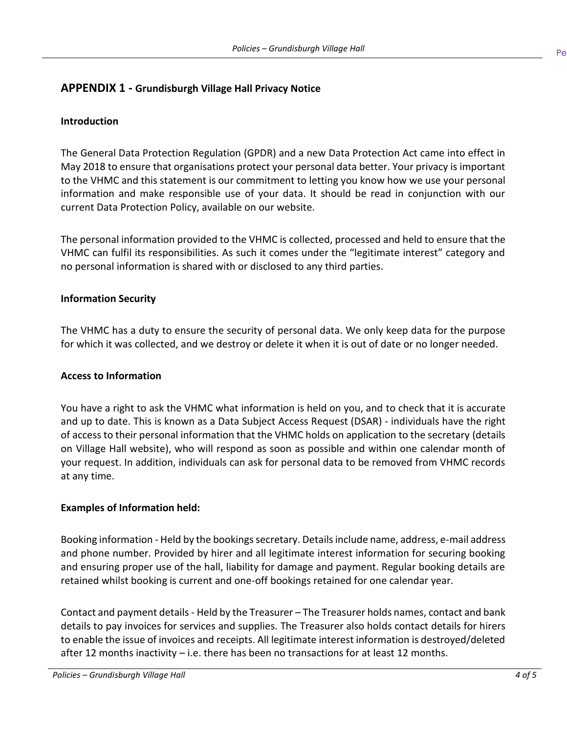## **APPENDIX 1 - Grundisburgh Village Hall Privacy Notice**

### **Introduction**

The General Data Protection Regulation (GPDR) and a new Data Protection Act came into effect in May 2018 to ensure that organisations protect your personal data better. Your privacy is important to the VHMC and this statement is our commitment to letting you know how we use your personal information and make responsible use of your data. It should be read in conjunction with our current Data Protection Policy, available on our website.

The personal information provided to the VHMC is collected, processed and held to ensure that the VHMC can fulfil its responsibilities. As such it comes under the "legitimate interest" category and no personal information is shared with or disclosed to any third parties.

### **Information Security**

The VHMC has a duty to ensure the security of personal data. We only keep data for the purpose for which it was collected, and we destroy or delete it when it is out of date or no longer needed.

#### **Access to Information**

You have a right to ask the VHMC what information is held on you, and to check that it is accurate and up to date. This is known as a Data Subject Access Request (DSAR) - individuals have the right of access to their personal information that the VHMC holds on application to the secretary (details on Village Hall website), who will respond as soon as possible and within one calendar month of your request. In addition, individuals can ask for personal data to be removed from VHMC records at any time.

#### **Examples of Information held:**

Booking information - Held by the bookings secretary. Details include name, address, e-mail address and phone number. Provided by hirer and all legitimate interest information for securing booking and ensuring proper use of the hall, liability for damage and payment. Regular booking details are retained whilst booking is current and one-off bookings retained for one calendar year.

Contact and payment details - Held by the Treasurer – The Treasurer holds names, contact and bank details to pay invoices for services and supplies. The Treasurer also holds contact details for hirers to enable the issue of invoices and receipts. All legitimate interest information is destroyed/deleted after 12 months inactivity – i.e. there has been no transactions for at least 12 months.